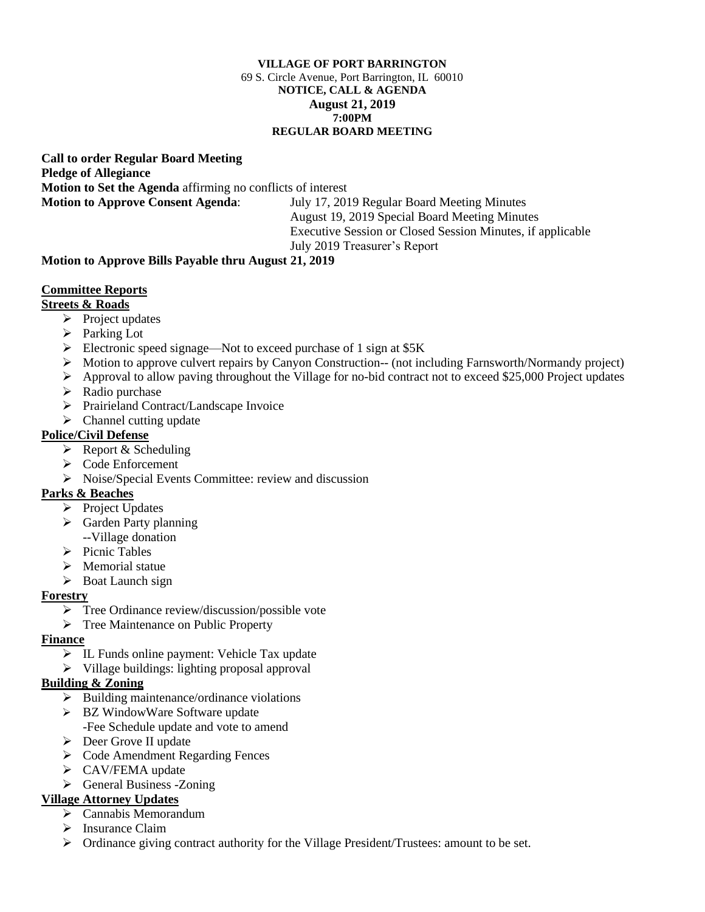#### **VILLAGE OF PORT BARRINGTON** 69 S. Circle Avenue, Port Barrington, IL 60010 **NOTICE, CALL & AGENDA August 21, 2019 7:00PM REGULAR BOARD MEETING**

**Call to order Regular Board Meeting Pledge of Allegiance Motion to Set the Agenda** affirming no conflicts of interest **Motion to Approve Consent Agenda**: July 17, 2019 Regular Board Meeting Minutes

August 19, 2019 Special Board Meeting Minutes Executive Session or Closed Session Minutes, if applicable July 2019 Treasurer's Report

## **Motion to Approve Bills Payable thru August 21, 2019**

## **Committee Reports**

## **Streets & Roads**

- ➢ Project updates
- ➢ Parking Lot
- ➢ Electronic speed signage—Not to exceed purchase of 1 sign at \$5K
- ➢ Motion to approve culvert repairs by Canyon Construction-- (not including Farnsworth/Normandy project)
- $\triangleright$  Approval to allow paving throughout the Village for no-bid contract not to exceed \$25,000 Project updates
- $\triangleright$  Radio purchase
- ➢ Prairieland Contract/Landscape Invoice
- $\triangleright$  Channel cutting update

## **Police/Civil Defense**

- $\triangleright$  Report & Scheduling
- ➢ Code Enforcement
- ➢ Noise/Special Events Committee: review and discussion

# **Parks & Beaches**

- ➢ Project Updates
- ➢ Garden Party planning --Village donation
- ➢ Picnic Tables
- $\triangleright$  Memorial statue
- ➢ Boat Launch sign

## **Forestry**

- ➢ Tree Ordinance review/discussion/possible vote
- ➢ Tree Maintenance on Public Property

## **Finance**

- ➢ IL Funds online payment: Vehicle Tax update
- ➢ Village buildings: lighting proposal approval

## **Building & Zoning**

- $\triangleright$  Building maintenance/ordinance violations
- ➢ BZ WindowWare Software update
	- -Fee Schedule update and vote to amend
- ➢ Deer Grove II update
- ➢ Code Amendment Regarding Fences
- ➢ CAV/FEMA update
- ➢ General Business -Zoning

## **Village Attorney Updates**

- ➢ Cannabis Memorandum
- ➢ Insurance Claim
- ➢ Ordinance giving contract authority for the Village President/Trustees: amount to be set.